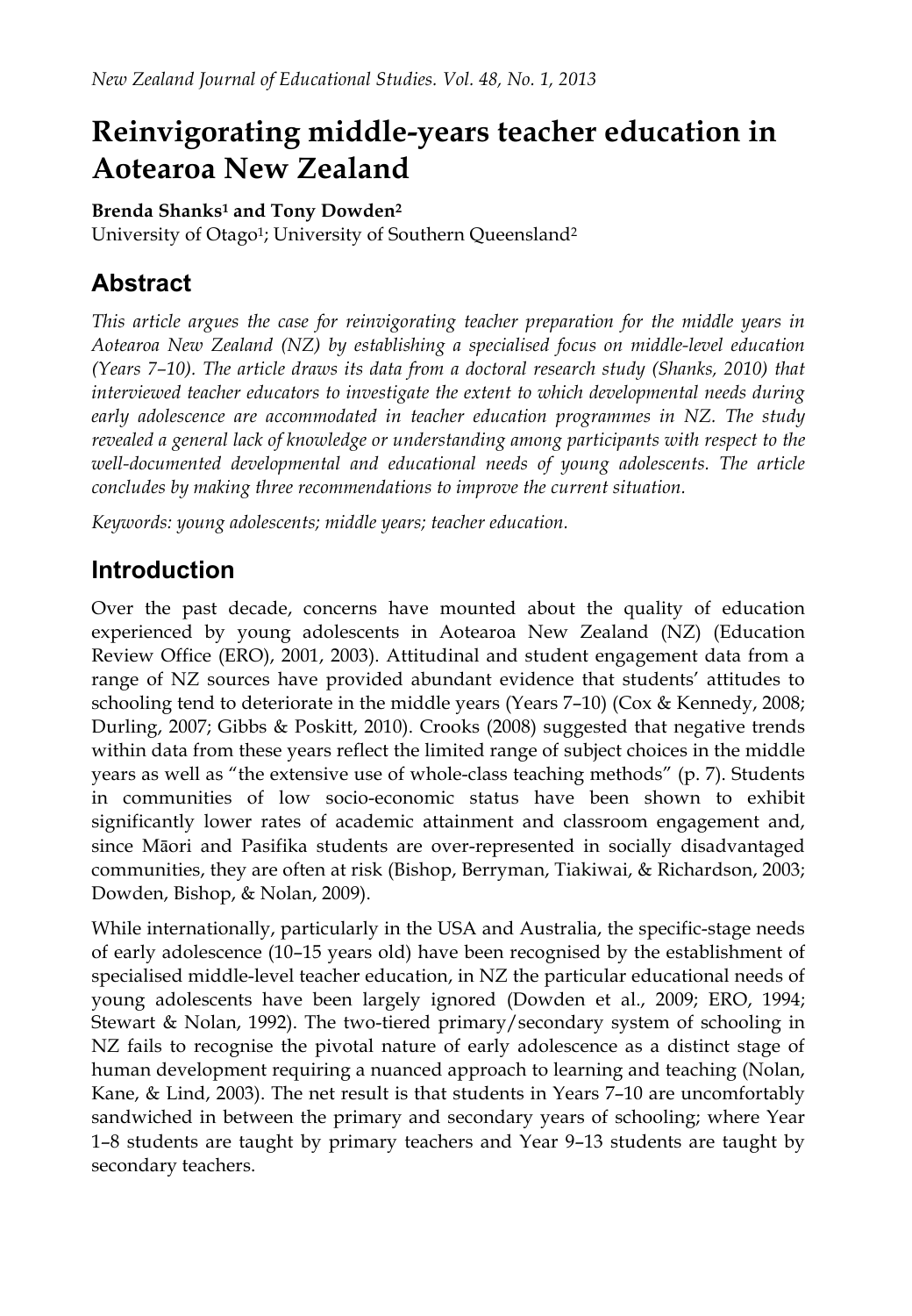# **Reinvigorating middle-years teacher education in Aotearoa New Zealand**

#### **Brenda Shanks1 and Tony Dowden2**

University of Otago<sup>1</sup>; University of Southern Queensland<sup>2</sup>

## **Abstract**

*This article argues the case for reinvigorating teacher preparation for the middle years in Aotearoa New Zealand (NZ) by establishing a specialised focus on middle-level education (Years 7–10). The article draws its data from a doctoral research study (Shanks, 2010) that interviewed teacher educators to investigate the extent to which developmental needs during early adolescence are accommodated in teacher education programmes in NZ. The study revealed a general lack of knowledge or understanding among participants with respect to the well-documented developmental and educational needs of young adolescents. The article concludes by making three recommendations to improve the current situation.*

*Keywords: young adolescents; middle years; teacher education.*

## **Introduction**

Over the past decade, concerns have mounted about the quality of education experienced by young adolescents in Aotearoa New Zealand (NZ) (Education Review Office (ERO), 2001, 2003). Attitudinal and student engagement data from a range of NZ sources have provided abundant evidence that students' attitudes to schooling tend to deteriorate in the middle years (Years 7–10) (Cox & Kennedy, 2008; Durling, 2007; Gibbs & Poskitt, 2010). Crooks (2008) suggested that negative trends within data from these years reflect the limited range of subject choices in the middle years as well as "the extensive use of whole-class teaching methods" (p. 7). Students in communities of low socio-economic status have been shown to exhibit significantly lower rates of academic attainment and classroom engagement and, since Māori and Pasifika students are over-represented in socially disadvantaged communities, they are often at risk (Bishop, Berryman, Tiakiwai, & Richardson, 2003; Dowden, Bishop, & Nolan, 2009).

While internationally, particularly in the USA and Australia, the specific-stage needs of early adolescence (10–15 years old) have been recognised by the establishment of specialised middle-level teacher education, in NZ the particular educational needs of young adolescents have been largely ignored (Dowden et al., 2009; ERO, 1994; Stewart & Nolan, 1992). The two-tiered primary/secondary system of schooling in NZ fails to recognise the pivotal nature of early adolescence as a distinct stage of human development requiring a nuanced approach to learning and teaching (Nolan, Kane, & Lind, 2003). The net result is that students in Years 7–10 are uncomfortably sandwiched in between the primary and secondary years of schooling; where Year 1–8 students are taught by primary teachers and Year 9–13 students are taught by secondary teachers.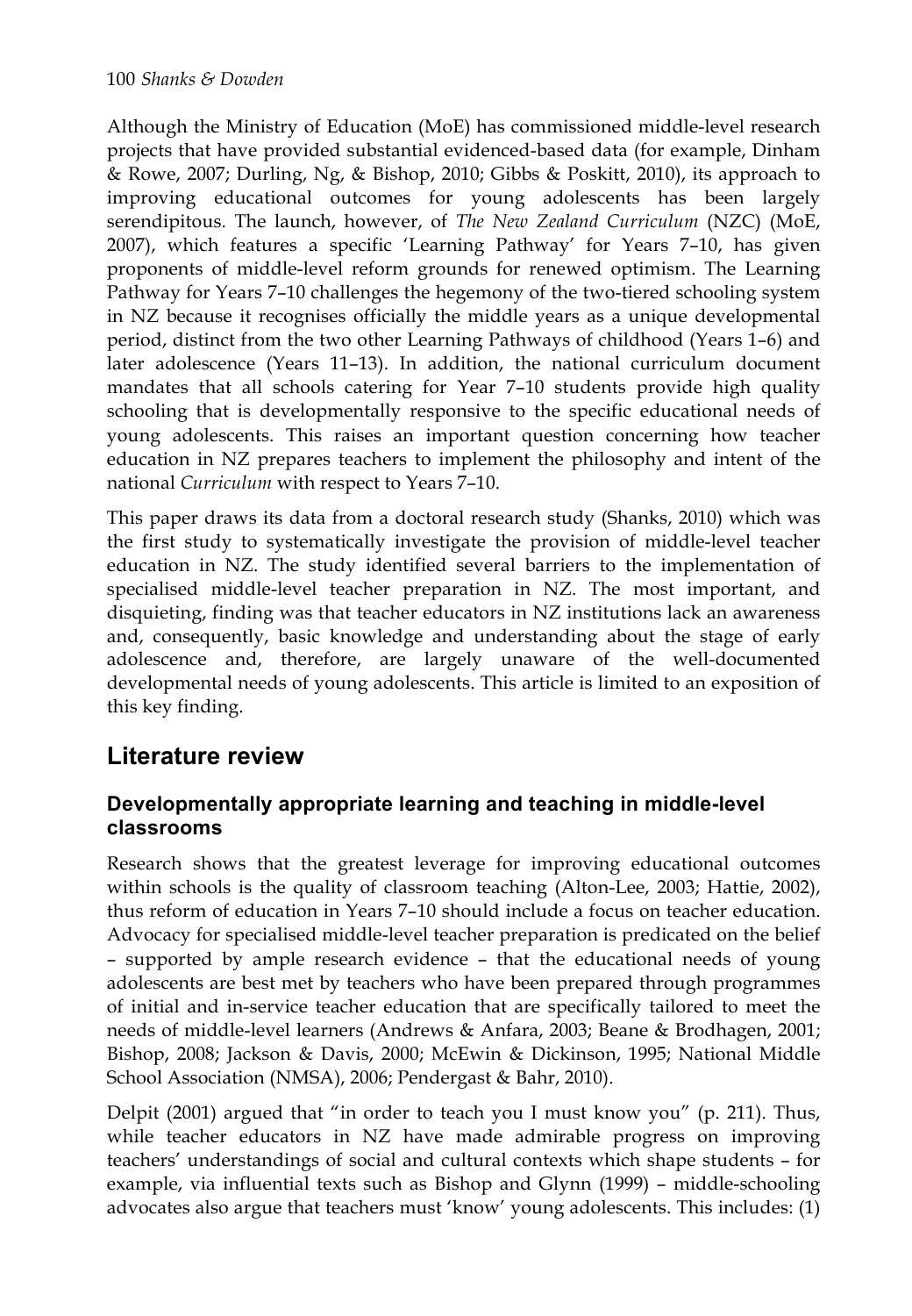Although the Ministry of Education (MoE) has commissioned middle-level research projects that have provided substantial evidenced-based data (for example, Dinham & Rowe, 2007; Durling, Ng, & Bishop, 2010; Gibbs & Poskitt, 2010), its approach to improving educational outcomes for young adolescents has been largely serendipitous. The launch, however, of *The New Zealand Curriculum* (NZC) (MoE, 2007), which features a specific 'Learning Pathway' for Years 7–10, has given proponents of middle-level reform grounds for renewed optimism. The Learning Pathway for Years 7–10 challenges the hegemony of the two-tiered schooling system in NZ because it recognises officially the middle years as a unique developmental period, distinct from the two other Learning Pathways of childhood (Years 1–6) and later adolescence (Years 11–13). In addition, the national curriculum document mandates that all schools catering for Year 7–10 students provide high quality schooling that is developmentally responsive to the specific educational needs of young adolescents. This raises an important question concerning how teacher education in NZ prepares teachers to implement the philosophy and intent of the national *Curriculum* with respect to Years 7–10.

This paper draws its data from a doctoral research study (Shanks, 2010) which was the first study to systematically investigate the provision of middle-level teacher education in NZ. The study identified several barriers to the implementation of specialised middle-level teacher preparation in NZ. The most important, and disquieting, finding was that teacher educators in NZ institutions lack an awareness and, consequently, basic knowledge and understanding about the stage of early adolescence and, therefore, are largely unaware of the well-documented developmental needs of young adolescents. This article is limited to an exposition of this key finding.

## **Literature review**

### **Developmentally appropriate learning and teaching in middle-level classrooms**

Research shows that the greatest leverage for improving educational outcomes within schools is the quality of classroom teaching (Alton-Lee, 2003; Hattie, 2002), thus reform of education in Years 7–10 should include a focus on teacher education. Advocacy for specialised middle-level teacher preparation is predicated on the belief – supported by ample research evidence – that the educational needs of young adolescents are best met by teachers who have been prepared through programmes of initial and in-service teacher education that are specifically tailored to meet the needs of middle-level learners (Andrews & Anfara, 2003; Beane & Brodhagen, 2001; Bishop, 2008; Jackson & Davis, 2000; McEwin & Dickinson, 1995; National Middle School Association (NMSA), 2006; Pendergast & Bahr, 2010).

Delpit (2001) argued that "in order to teach you I must know you" (p. 211). Thus, while teacher educators in NZ have made admirable progress on improving teachers' understandings of social and cultural contexts which shape students – for example, via influential texts such as Bishop and Glynn (1999) – middle-schooling advocates also argue that teachers must 'know' young adolescents. This includes: (1)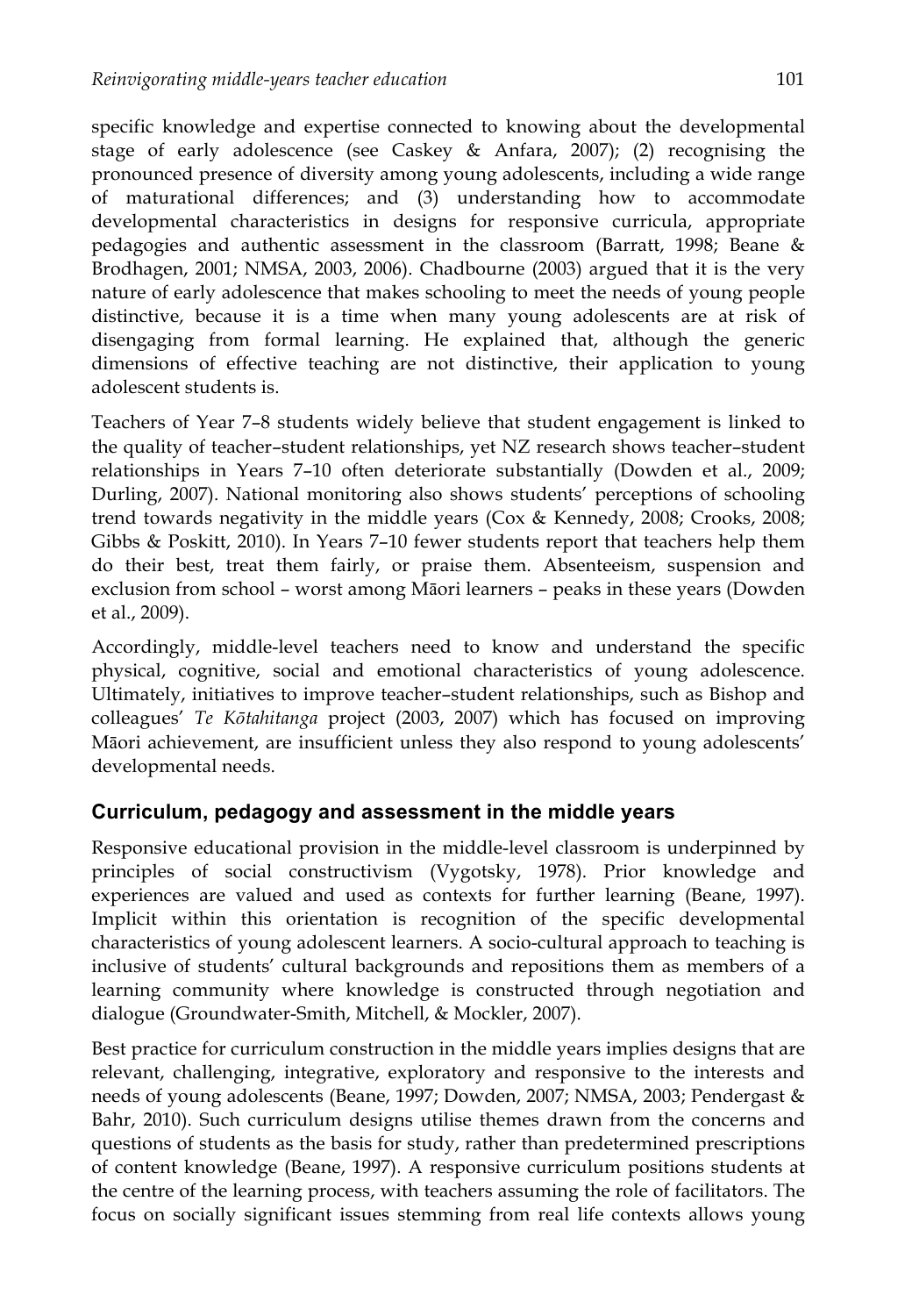specific knowledge and expertise connected to knowing about the developmental stage of early adolescence (see Caskey & Anfara, 2007); (2) recognising the pronounced presence of diversity among young adolescents, including a wide range of maturational differences; and (3) understanding how to accommodate developmental characteristics in designs for responsive curricula, appropriate pedagogies and authentic assessment in the classroom (Barratt, 1998; Beane & Brodhagen, 2001; NMSA, 2003, 2006). Chadbourne (2003) argued that it is the very nature of early adolescence that makes schooling to meet the needs of young people distinctive, because it is a time when many young adolescents are at risk of disengaging from formal learning. He explained that, although the generic dimensions of effective teaching are not distinctive, their application to young adolescent students is.

Teachers of Year 7–8 students widely believe that student engagement is linked to the quality of teacher–student relationships, yet NZ research shows teacher–student relationships in Years 7–10 often deteriorate substantially (Dowden et al., 2009; Durling, 2007). National monitoring also shows students' perceptions of schooling trend towards negativity in the middle years (Cox & Kennedy, 2008; Crooks, 2008; Gibbs & Poskitt, 2010). In Years 7–10 fewer students report that teachers help them do their best, treat them fairly, or praise them. Absenteeism, suspension and exclusion from school – worst among Māori learners – peaks in these years (Dowden et al., 2009).

Accordingly, middle-level teachers need to know and understand the specific physical, cognitive, social and emotional characteristics of young adolescence. Ultimately, initiatives to improve teacher–student relationships, such as Bishop and colleagues' *Te Kōtahitanga* project (2003, 2007) which has focused on improving Māori achievement, are insufficient unless they also respond to young adolescents' developmental needs.

### **Curriculum, pedagogy and assessment in the middle years**

Responsive educational provision in the middle-level classroom is underpinned by principles of social constructivism (Vygotsky, 1978). Prior knowledge and experiences are valued and used as contexts for further learning (Beane, 1997). Implicit within this orientation is recognition of the specific developmental characteristics of young adolescent learners. A socio-cultural approach to teaching is inclusive of students' cultural backgrounds and repositions them as members of a learning community where knowledge is constructed through negotiation and dialogue (Groundwater-Smith, Mitchell, & Mockler, 2007).

Best practice for curriculum construction in the middle years implies designs that are relevant, challenging, integrative, exploratory and responsive to the interests and needs of young adolescents (Beane, 1997; Dowden, 2007; NMSA, 2003; Pendergast & Bahr, 2010). Such curriculum designs utilise themes drawn from the concerns and questions of students as the basis for study, rather than predetermined prescriptions of content knowledge (Beane, 1997). A responsive curriculum positions students at the centre of the learning process, with teachers assuming the role of facilitators. The focus on socially significant issues stemming from real life contexts allows young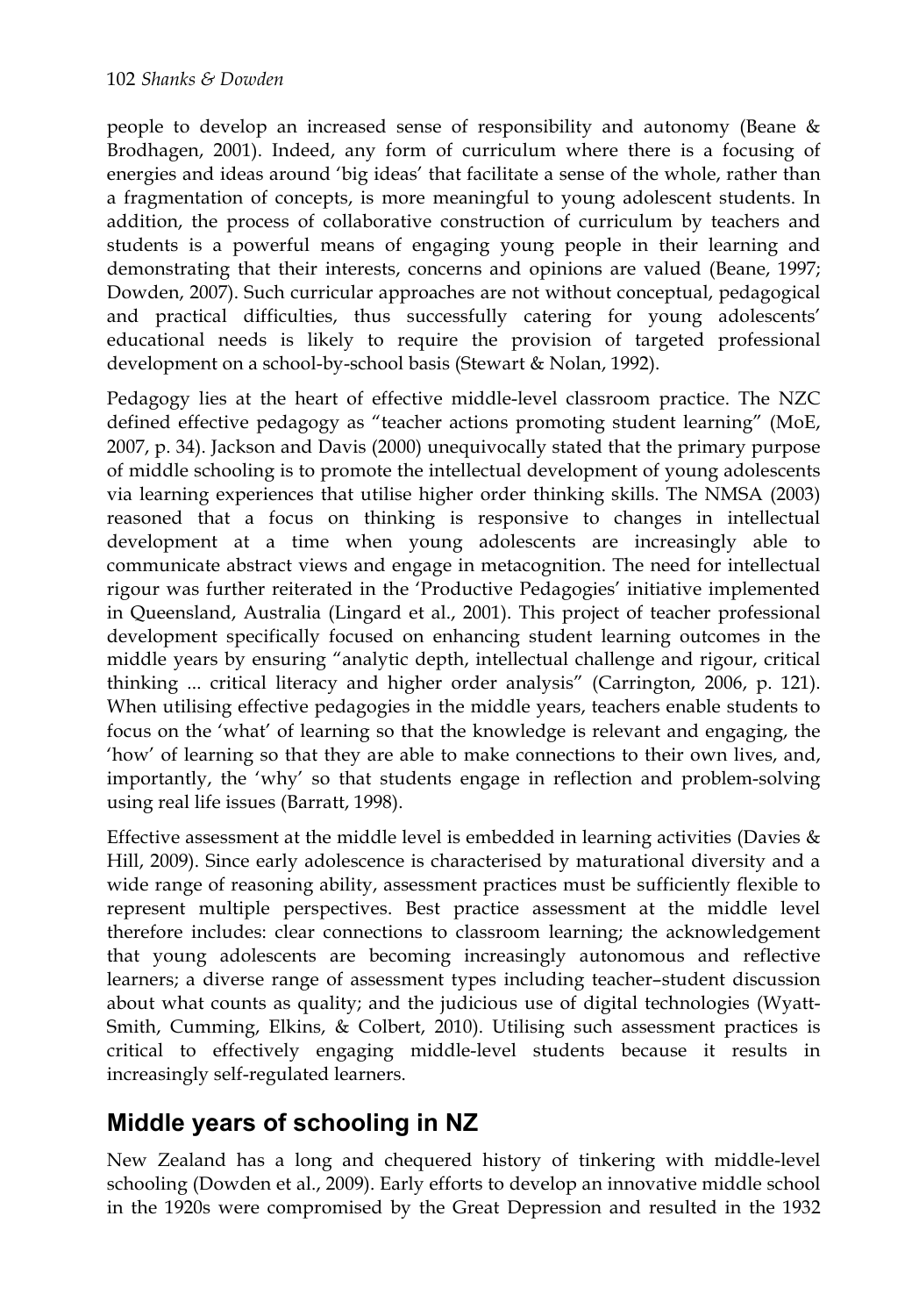people to develop an increased sense of responsibility and autonomy (Beane & Brodhagen, 2001). Indeed, any form of curriculum where there is a focusing of energies and ideas around 'big ideas' that facilitate a sense of the whole, rather than a fragmentation of concepts, is more meaningful to young adolescent students. In addition, the process of collaborative construction of curriculum by teachers and students is a powerful means of engaging young people in their learning and demonstrating that their interests, concerns and opinions are valued (Beane, 1997; Dowden, 2007). Such curricular approaches are not without conceptual, pedagogical and practical difficulties, thus successfully catering for young adolescents' educational needs is likely to require the provision of targeted professional development on a school-by-school basis (Stewart & Nolan, 1992).

Pedagogy lies at the heart of effective middle-level classroom practice. The NZC defined effective pedagogy as "teacher actions promoting student learning" (MoE, 2007, p. 34). Jackson and Davis (2000) unequivocally stated that the primary purpose of middle schooling is to promote the intellectual development of young adolescents via learning experiences that utilise higher order thinking skills. The NMSA (2003) reasoned that a focus on thinking is responsive to changes in intellectual development at a time when young adolescents are increasingly able to communicate abstract views and engage in metacognition. The need for intellectual rigour was further reiterated in the 'Productive Pedagogies' initiative implemented in Queensland, Australia (Lingard et al., 2001). This project of teacher professional development specifically focused on enhancing student learning outcomes in the middle years by ensuring "analytic depth, intellectual challenge and rigour, critical thinking ... critical literacy and higher order analysis" (Carrington, 2006, p. 121). When utilising effective pedagogies in the middle years, teachers enable students to focus on the 'what' of learning so that the knowledge is relevant and engaging, the 'how' of learning so that they are able to make connections to their own lives, and, importantly, the 'why' so that students engage in reflection and problem-solving using real life issues (Barratt, 1998).

Effective assessment at the middle level is embedded in learning activities (Davies  $\&$ Hill, 2009). Since early adolescence is characterised by maturational diversity and a wide range of reasoning ability, assessment practices must be sufficiently flexible to represent multiple perspectives. Best practice assessment at the middle level therefore includes: clear connections to classroom learning; the acknowledgement that young adolescents are becoming increasingly autonomous and reflective learners; a diverse range of assessment types including teacher–student discussion about what counts as quality; and the judicious use of digital technologies (Wyatt-Smith, Cumming, Elkins, & Colbert, 2010). Utilising such assessment practices is critical to effectively engaging middle-level students because it results in increasingly self-regulated learners.

## **Middle years of schooling in NZ**

New Zealand has a long and chequered history of tinkering with middle-level schooling (Dowden et al., 2009). Early efforts to develop an innovative middle school in the 1920s were compromised by the Great Depression and resulted in the 1932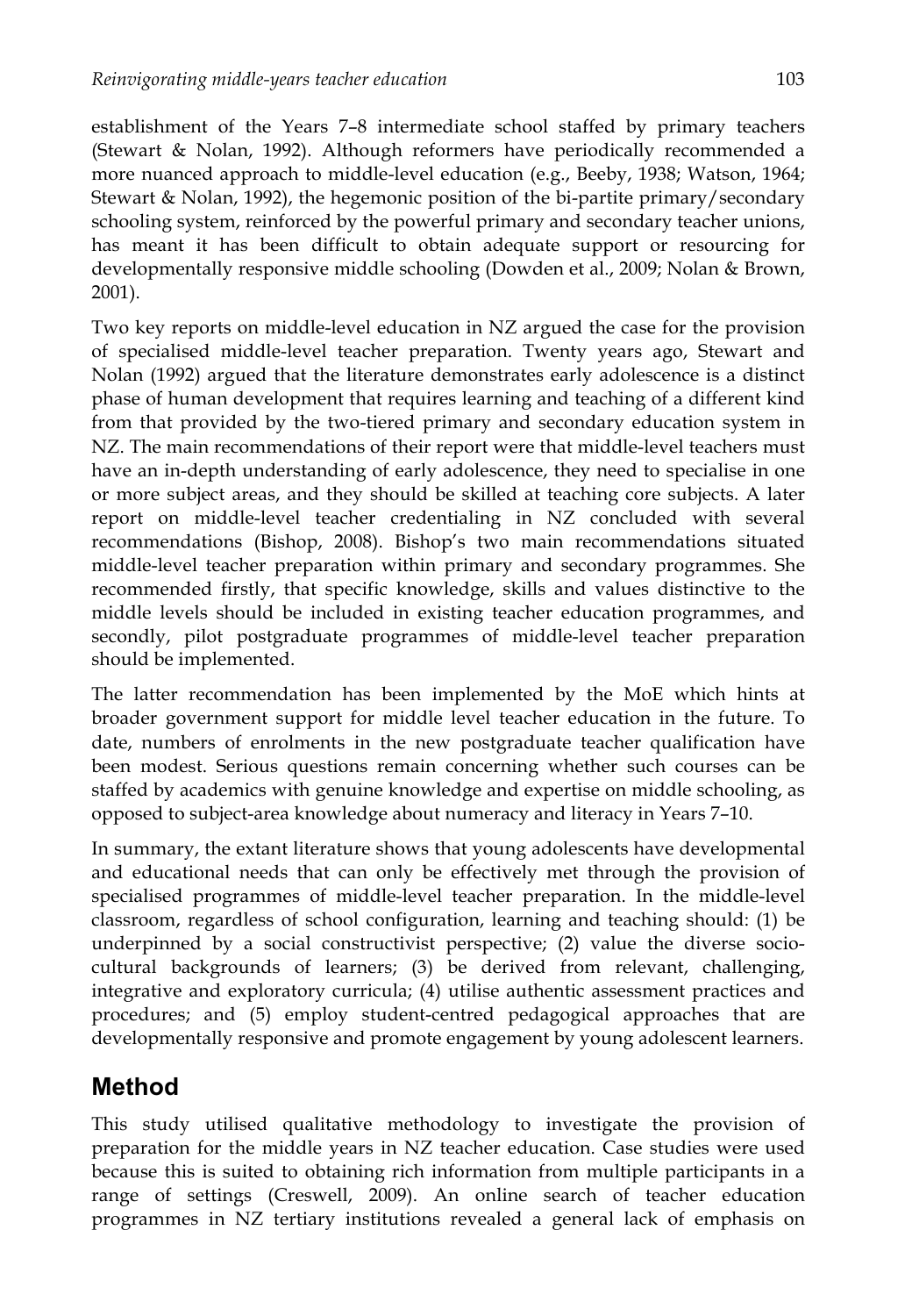establishment of the Years 7–8 intermediate school staffed by primary teachers (Stewart & Nolan, 1992). Although reformers have periodically recommended a more nuanced approach to middle-level education (e.g., Beeby, 1938; Watson, 1964; Stewart & Nolan, 1992), the hegemonic position of the bi-partite primary/secondary schooling system, reinforced by the powerful primary and secondary teacher unions, has meant it has been difficult to obtain adequate support or resourcing for developmentally responsive middle schooling (Dowden et al., 2009; Nolan & Brown, 2001).

Two key reports on middle-level education in NZ argued the case for the provision of specialised middle-level teacher preparation. Twenty years ago, Stewart and Nolan (1992) argued that the literature demonstrates early adolescence is a distinct phase of human development that requires learning and teaching of a different kind from that provided by the two-tiered primary and secondary education system in NZ. The main recommendations of their report were that middle-level teachers must have an in-depth understanding of early adolescence, they need to specialise in one or more subject areas, and they should be skilled at teaching core subjects. A later report on middle-level teacher credentialing in NZ concluded with several recommendations (Bishop, 2008). Bishop's two main recommendations situated middle-level teacher preparation within primary and secondary programmes. She recommended firstly, that specific knowledge, skills and values distinctive to the middle levels should be included in existing teacher education programmes, and secondly, pilot postgraduate programmes of middle-level teacher preparation should be implemented.

The latter recommendation has been implemented by the MoE which hints at broader government support for middle level teacher education in the future. To date, numbers of enrolments in the new postgraduate teacher qualification have been modest. Serious questions remain concerning whether such courses can be staffed by academics with genuine knowledge and expertise on middle schooling, as opposed to subject-area knowledge about numeracy and literacy in Years 7–10.

In summary, the extant literature shows that young adolescents have developmental and educational needs that can only be effectively met through the provision of specialised programmes of middle-level teacher preparation. In the middle-level classroom, regardless of school configuration, learning and teaching should: (1) be underpinned by a social constructivist perspective; (2) value the diverse sociocultural backgrounds of learners; (3) be derived from relevant, challenging, integrative and exploratory curricula; (4) utilise authentic assessment practices and procedures; and (5) employ student-centred pedagogical approaches that are developmentally responsive and promote engagement by young adolescent learners.

## **Method**

This study utilised qualitative methodology to investigate the provision of preparation for the middle years in NZ teacher education. Case studies were used because this is suited to obtaining rich information from multiple participants in a range of settings (Creswell, 2009). An online search of teacher education programmes in NZ tertiary institutions revealed a general lack of emphasis on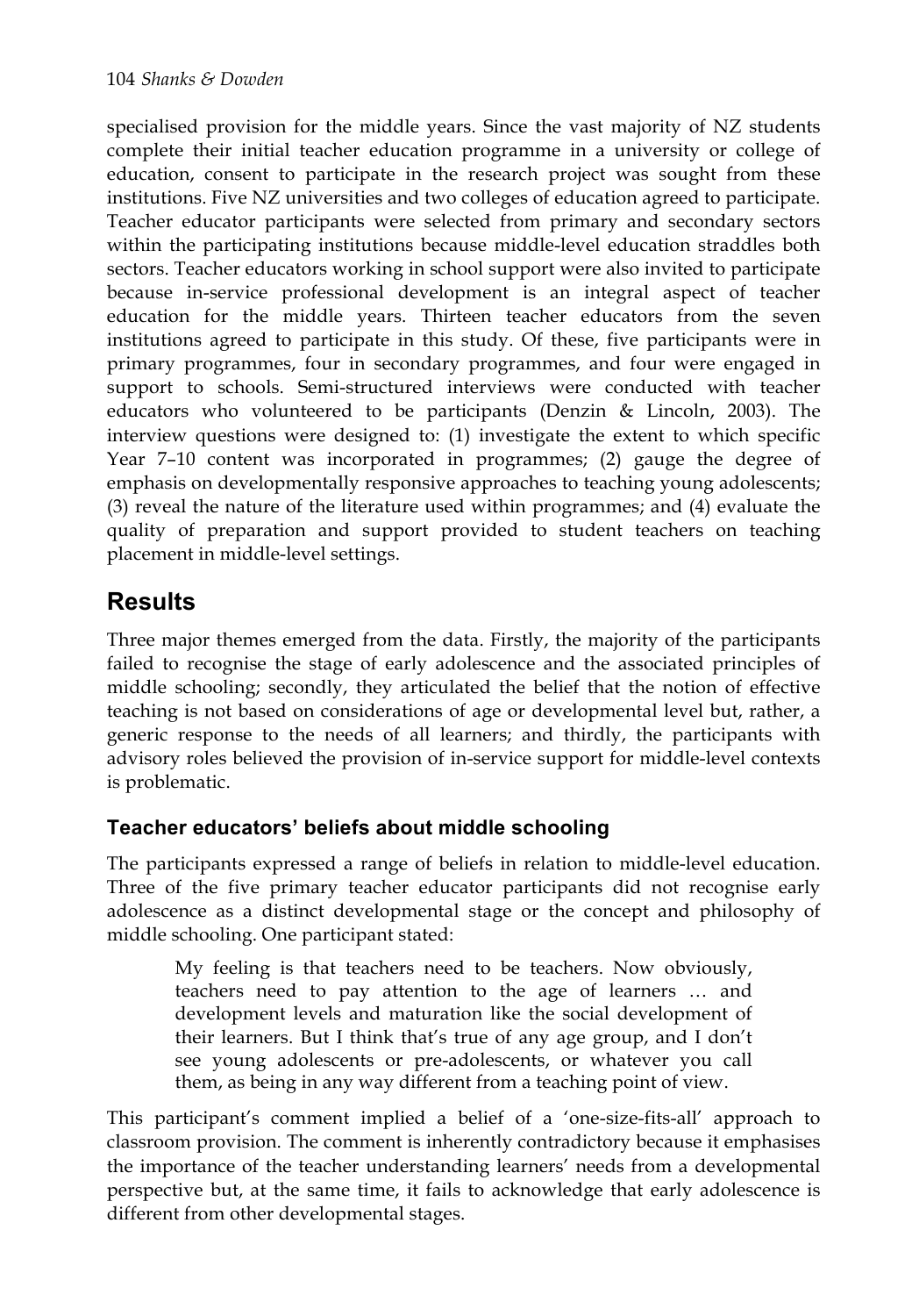specialised provision for the middle years. Since the vast majority of NZ students complete their initial teacher education programme in a university or college of education, consent to participate in the research project was sought from these institutions. Five NZ universities and two colleges of education agreed to participate. Teacher educator participants were selected from primary and secondary sectors within the participating institutions because middle-level education straddles both sectors. Teacher educators working in school support were also invited to participate because in-service professional development is an integral aspect of teacher education for the middle years. Thirteen teacher educators from the seven institutions agreed to participate in this study. Of these, five participants were in primary programmes, four in secondary programmes, and four were engaged in support to schools. Semi-structured interviews were conducted with teacher educators who volunteered to be participants (Denzin & Lincoln, 2003). The interview questions were designed to: (1) investigate the extent to which specific Year 7–10 content was incorporated in programmes; (2) gauge the degree of emphasis on developmentally responsive approaches to teaching young adolescents; (3) reveal the nature of the literature used within programmes; and (4) evaluate the quality of preparation and support provided to student teachers on teaching placement in middle-level settings.

## **Results**

Three major themes emerged from the data. Firstly, the majority of the participants failed to recognise the stage of early adolescence and the associated principles of middle schooling; secondly, they articulated the belief that the notion of effective teaching is not based on considerations of age or developmental level but, rather, a generic response to the needs of all learners; and thirdly, the participants with advisory roles believed the provision of in-service support for middle-level contexts is problematic.

### **Teacher educators' beliefs about middle schooling**

The participants expressed a range of beliefs in relation to middle-level education. Three of the five primary teacher educator participants did not recognise early adolescence as a distinct developmental stage or the concept and philosophy of middle schooling. One participant stated:

My feeling is that teachers need to be teachers. Now obviously, teachers need to pay attention to the age of learners … and development levels and maturation like the social development of their learners. But I think that's true of any age group, and I don't see young adolescents or pre-adolescents, or whatever you call them, as being in any way different from a teaching point of view.

This participant's comment implied a belief of a 'one-size-fits-all' approach to classroom provision. The comment is inherently contradictory because it emphasises the importance of the teacher understanding learners' needs from a developmental perspective but, at the same time, it fails to acknowledge that early adolescence is different from other developmental stages.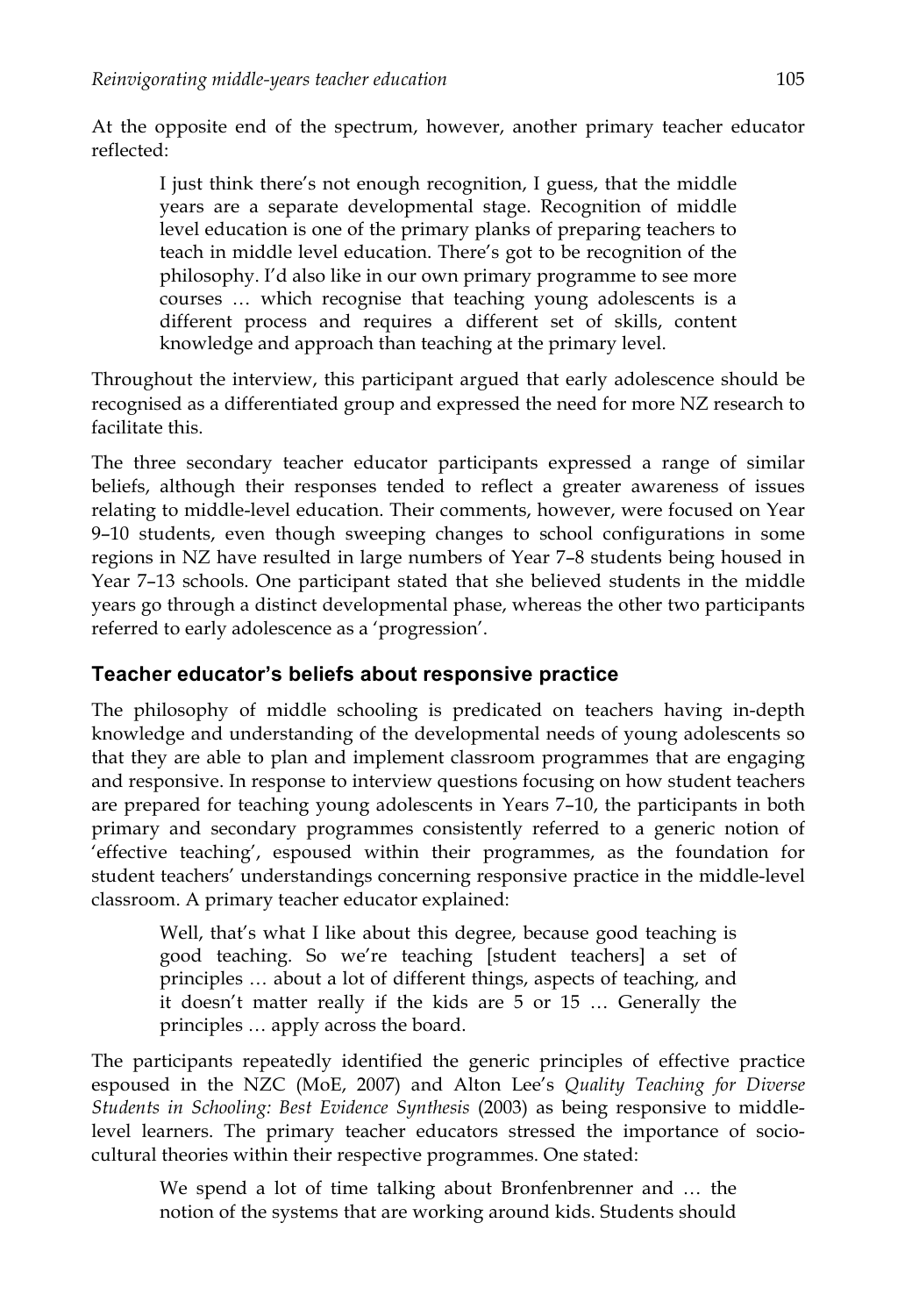At the opposite end of the spectrum, however, another primary teacher educator reflected:

I just think there's not enough recognition, I guess, that the middle years are a separate developmental stage. Recognition of middle level education is one of the primary planks of preparing teachers to teach in middle level education. There's got to be recognition of the philosophy. I'd also like in our own primary programme to see more courses … which recognise that teaching young adolescents is a different process and requires a different set of skills, content knowledge and approach than teaching at the primary level.

Throughout the interview, this participant argued that early adolescence should be recognised as a differentiated group and expressed the need for more NZ research to facilitate this.

The three secondary teacher educator participants expressed a range of similar beliefs, although their responses tended to reflect a greater awareness of issues relating to middle-level education. Their comments, however, were focused on Year 9–10 students, even though sweeping changes to school configurations in some regions in NZ have resulted in large numbers of Year 7–8 students being housed in Year 7–13 schools. One participant stated that she believed students in the middle years go through a distinct developmental phase, whereas the other two participants referred to early adolescence as a 'progression'.

### **Teacher educator's beliefs about responsive practice**

The philosophy of middle schooling is predicated on teachers having in-depth knowledge and understanding of the developmental needs of young adolescents so that they are able to plan and implement classroom programmes that are engaging and responsive. In response to interview questions focusing on how student teachers are prepared for teaching young adolescents in Years 7–10, the participants in both primary and secondary programmes consistently referred to a generic notion of 'effective teaching', espoused within their programmes, as the foundation for student teachers' understandings concerning responsive practice in the middle-level classroom. A primary teacher educator explained:

Well, that's what I like about this degree, because good teaching is good teaching. So we're teaching [student teachers] a set of principles … about a lot of different things, aspects of teaching, and it doesn't matter really if the kids are 5 or 15 … Generally the principles … apply across the board.

The participants repeatedly identified the generic principles of effective practice espoused in the NZC (MoE, 2007) and Alton Lee's *Quality Teaching for Diverse Students in Schooling: Best Evidence Synthesis* (2003) as being responsive to middlelevel learners. The primary teacher educators stressed the importance of sociocultural theories within their respective programmes. One stated:

We spend a lot of time talking about Bronfenbrenner and … the notion of the systems that are working around kids. Students should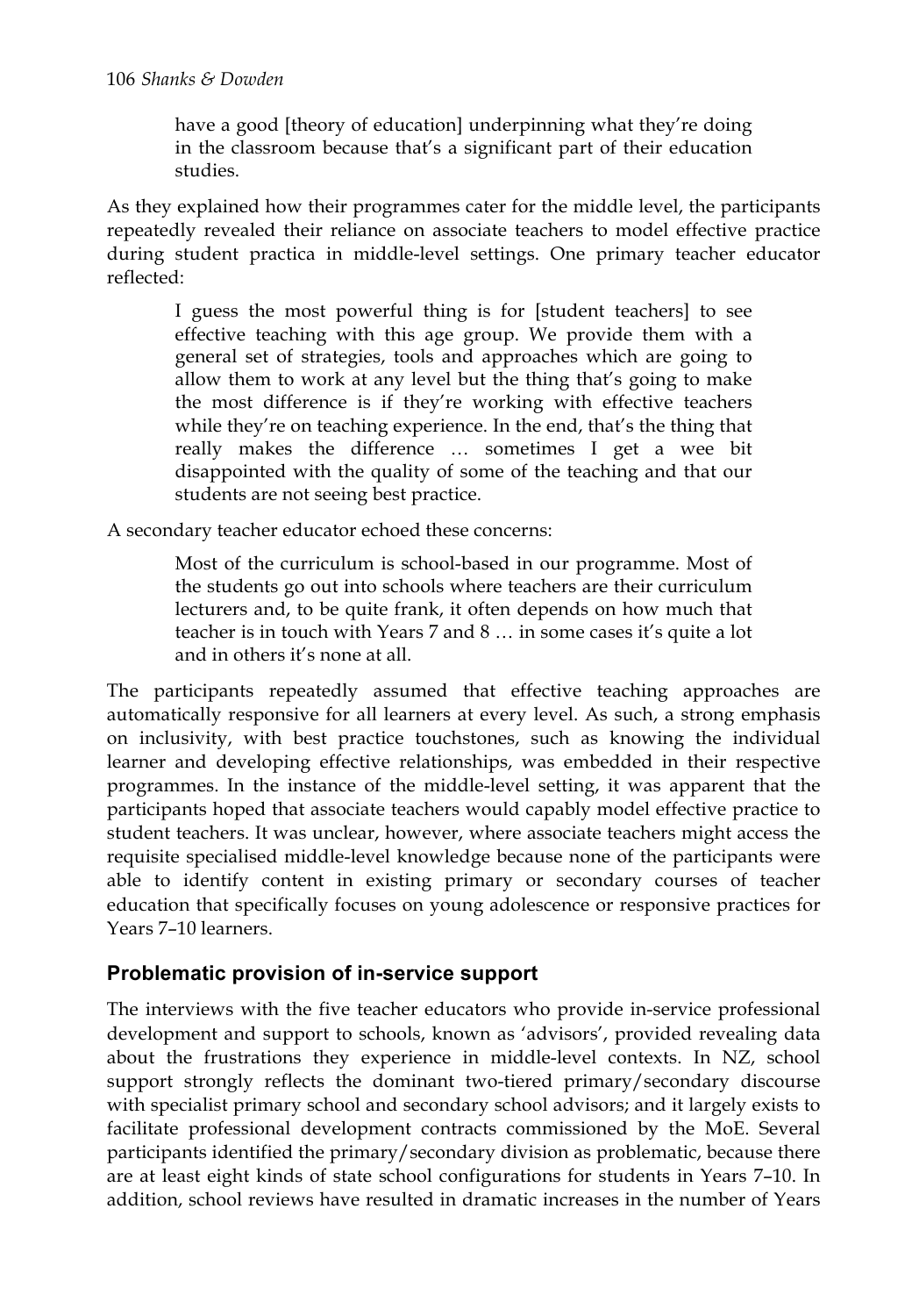have a good [theory of education] underpinning what they're doing in the classroom because that's a significant part of their education studies.

As they explained how their programmes cater for the middle level, the participants repeatedly revealed their reliance on associate teachers to model effective practice during student practica in middle-level settings. One primary teacher educator reflected:

I guess the most powerful thing is for [student teachers] to see effective teaching with this age group. We provide them with a general set of strategies, tools and approaches which are going to allow them to work at any level but the thing that's going to make the most difference is if they're working with effective teachers while they're on teaching experience. In the end, that's the thing that really makes the difference … sometimes I get a wee bit disappointed with the quality of some of the teaching and that our students are not seeing best practice.

A secondary teacher educator echoed these concerns:

Most of the curriculum is school-based in our programme. Most of the students go out into schools where teachers are their curriculum lecturers and, to be quite frank, it often depends on how much that teacher is in touch with Years 7 and 8 … in some cases it's quite a lot and in others it's none at all.

The participants repeatedly assumed that effective teaching approaches are automatically responsive for all learners at every level. As such, a strong emphasis on inclusivity, with best practice touchstones, such as knowing the individual learner and developing effective relationships, was embedded in their respective programmes. In the instance of the middle-level setting, it was apparent that the participants hoped that associate teachers would capably model effective practice to student teachers. It was unclear, however, where associate teachers might access the requisite specialised middle-level knowledge because none of the participants were able to identify content in existing primary or secondary courses of teacher education that specifically focuses on young adolescence or responsive practices for Years 7–10 learners.

### **Problematic provision of in-service support**

The interviews with the five teacher educators who provide in-service professional development and support to schools, known as 'advisors', provided revealing data about the frustrations they experience in middle-level contexts. In NZ, school support strongly reflects the dominant two-tiered primary/secondary discourse with specialist primary school and secondary school advisors; and it largely exists to facilitate professional development contracts commissioned by the MoE. Several participants identified the primary/secondary division as problematic, because there are at least eight kinds of state school configurations for students in Years 7–10. In addition, school reviews have resulted in dramatic increases in the number of Years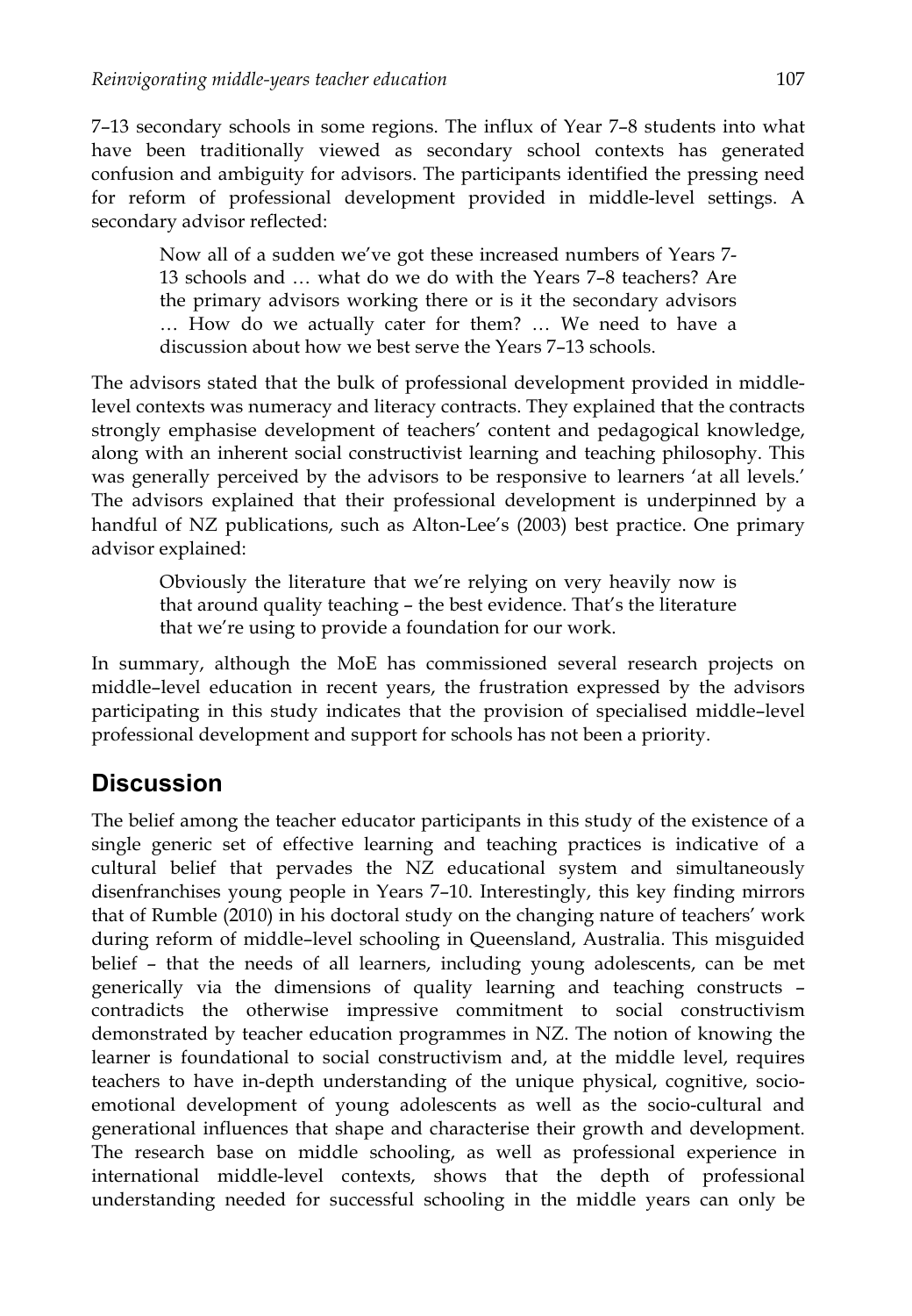7–13 secondary schools in some regions. The influx of Year 7–8 students into what have been traditionally viewed as secondary school contexts has generated confusion and ambiguity for advisors. The participants identified the pressing need for reform of professional development provided in middle-level settings. A secondary advisor reflected:

Now all of a sudden we've got these increased numbers of Years 7- 13 schools and … what do we do with the Years 7–8 teachers? Are the primary advisors working there or is it the secondary advisors … How do we actually cater for them? … We need to have a discussion about how we best serve the Years 7–13 schools.

The advisors stated that the bulk of professional development provided in middlelevel contexts was numeracy and literacy contracts. They explained that the contracts strongly emphasise development of teachers' content and pedagogical knowledge, along with an inherent social constructivist learning and teaching philosophy. This was generally perceived by the advisors to be responsive to learners 'at all levels.' The advisors explained that their professional development is underpinned by a handful of NZ publications, such as Alton-Lee's (2003) best practice. One primary advisor explained:

Obviously the literature that we're relying on very heavily now is that around quality teaching – the best evidence. That's the literature that we're using to provide a foundation for our work.

In summary, although the MoE has commissioned several research projects on middle–level education in recent years, the frustration expressed by the advisors participating in this study indicates that the provision of specialised middle–level professional development and support for schools has not been a priority.

## **Discussion**

The belief among the teacher educator participants in this study of the existence of a single generic set of effective learning and teaching practices is indicative of a cultural belief that pervades the NZ educational system and simultaneously disenfranchises young people in Years 7–10. Interestingly, this key finding mirrors that of Rumble (2010) in his doctoral study on the changing nature of teachers' work during reform of middle–level schooling in Queensland, Australia. This misguided belief – that the needs of all learners, including young adolescents, can be met generically via the dimensions of quality learning and teaching constructs – contradicts the otherwise impressive commitment to social constructivism demonstrated by teacher education programmes in NZ. The notion of knowing the learner is foundational to social constructivism and, at the middle level, requires teachers to have in-depth understanding of the unique physical, cognitive, socioemotional development of young adolescents as well as the socio-cultural and generational influences that shape and characterise their growth and development. The research base on middle schooling, as well as professional experience in international middle-level contexts, shows that the depth of professional understanding needed for successful schooling in the middle years can only be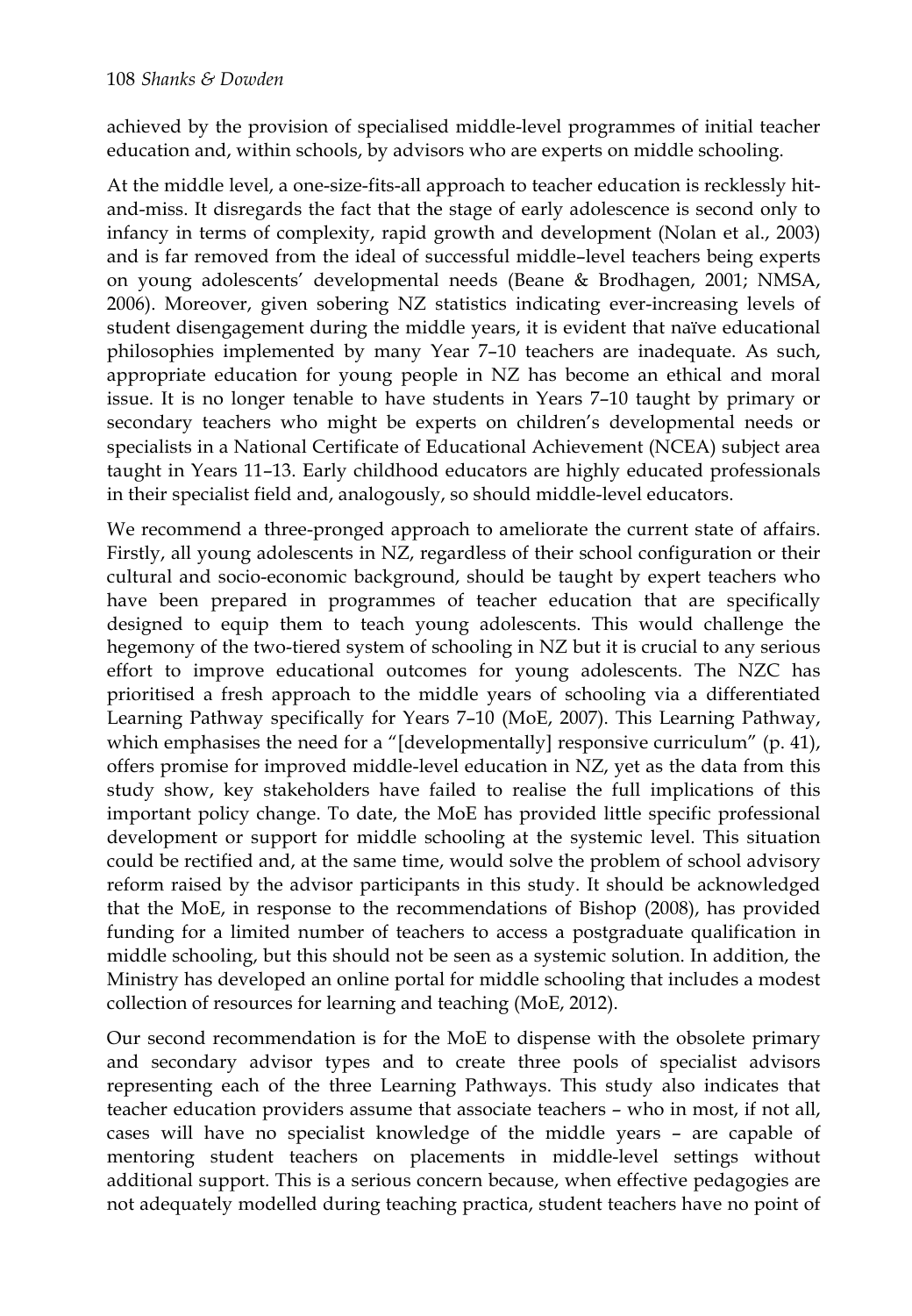achieved by the provision of specialised middle-level programmes of initial teacher education and, within schools, by advisors who are experts on middle schooling.

At the middle level, a one-size-fits-all approach to teacher education is recklessly hitand-miss. It disregards the fact that the stage of early adolescence is second only to infancy in terms of complexity, rapid growth and development (Nolan et al., 2003) and is far removed from the ideal of successful middle–level teachers being experts on young adolescents' developmental needs (Beane & Brodhagen, 2001; NMSA, 2006). Moreover, given sobering NZ statistics indicating ever-increasing levels of student disengagement during the middle years, it is evident that naïve educational philosophies implemented by many Year 7–10 teachers are inadequate. As such, appropriate education for young people in NZ has become an ethical and moral issue. It is no longer tenable to have students in Years 7–10 taught by primary or secondary teachers who might be experts on children's developmental needs or specialists in a National Certificate of Educational Achievement (NCEA) subject area taught in Years 11–13. Early childhood educators are highly educated professionals in their specialist field and, analogously, so should middle-level educators.

We recommend a three-pronged approach to ameliorate the current state of affairs. Firstly, all young adolescents in NZ, regardless of their school configuration or their cultural and socio-economic background, should be taught by expert teachers who have been prepared in programmes of teacher education that are specifically designed to equip them to teach young adolescents. This would challenge the hegemony of the two-tiered system of schooling in NZ but it is crucial to any serious effort to improve educational outcomes for young adolescents. The NZC has prioritised a fresh approach to the middle years of schooling via a differentiated Learning Pathway specifically for Years 7–10 (MoE, 2007). This Learning Pathway, which emphasises the need for a "[developmentally] responsive curriculum" (p. 41), offers promise for improved middle-level education in NZ, yet as the data from this study show, key stakeholders have failed to realise the full implications of this important policy change. To date, the MoE has provided little specific professional development or support for middle schooling at the systemic level. This situation could be rectified and, at the same time, would solve the problem of school advisory reform raised by the advisor participants in this study. It should be acknowledged that the MoE, in response to the recommendations of Bishop (2008), has provided funding for a limited number of teachers to access a postgraduate qualification in middle schooling, but this should not be seen as a systemic solution. In addition, the Ministry has developed an online portal for middle schooling that includes a modest collection of resources for learning and teaching (MoE, 2012).

Our second recommendation is for the MoE to dispense with the obsolete primary and secondary advisor types and to create three pools of specialist advisors representing each of the three Learning Pathways. This study also indicates that teacher education providers assume that associate teachers – who in most, if not all, cases will have no specialist knowledge of the middle years – are capable of mentoring student teachers on placements in middle-level settings without additional support. This is a serious concern because, when effective pedagogies are not adequately modelled during teaching practica, student teachers have no point of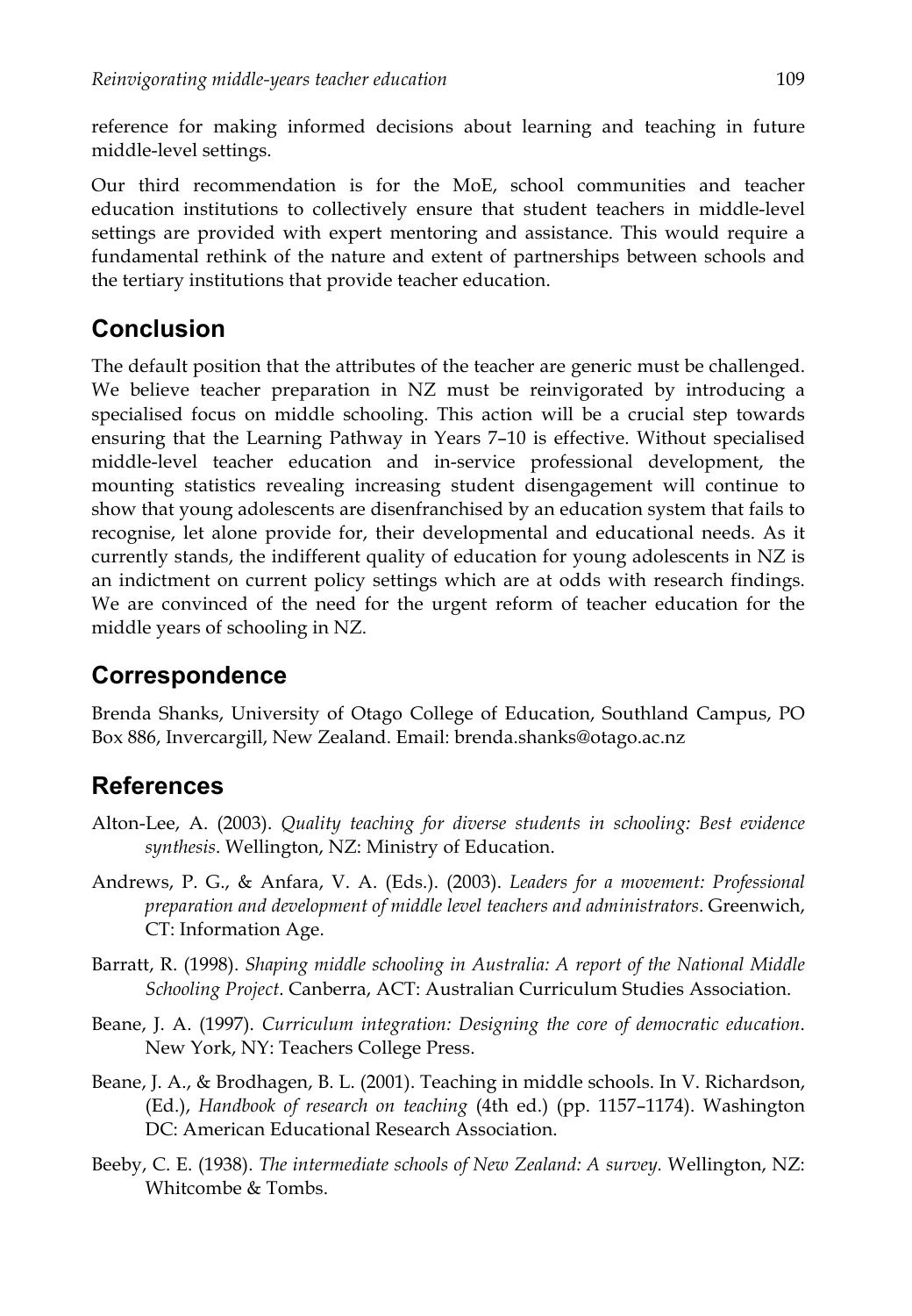reference for making informed decisions about learning and teaching in future middle-level settings.

Our third recommendation is for the MoE, school communities and teacher education institutions to collectively ensure that student teachers in middle-level settings are provided with expert mentoring and assistance. This would require a fundamental rethink of the nature and extent of partnerships between schools and the tertiary institutions that provide teacher education.

## **Conclusion**

The default position that the attributes of the teacher are generic must be challenged. We believe teacher preparation in NZ must be reinvigorated by introducing a specialised focus on middle schooling. This action will be a crucial step towards ensuring that the Learning Pathway in Years 7–10 is effective. Without specialised middle-level teacher education and in-service professional development, the mounting statistics revealing increasing student disengagement will continue to show that young adolescents are disenfranchised by an education system that fails to recognise, let alone provide for, their developmental and educational needs. As it currently stands, the indifferent quality of education for young adolescents in NZ is an indictment on current policy settings which are at odds with research findings. We are convinced of the need for the urgent reform of teacher education for the middle years of schooling in NZ.

## **Correspondence**

Brenda Shanks, University of Otago College of Education, Southland Campus, PO Box 886, Invercargill, New Zealand. Email: brenda.shanks@otago.ac.nz

## **References**

- Alton-Lee, A. (2003). *Quality teaching for diverse students in schooling: Best evidence synthesis*. Wellington, NZ: Ministry of Education.
- Andrews, P. G., & Anfara, V. A. (Eds.). (2003). *Leaders for a movement: Professional preparation and development of middle level teachers and administrators*. Greenwich, CT: Information Age.
- Barratt, R. (1998). *Shaping middle schooling in Australia: A report of the National Middle Schooling Project*. Canberra, ACT: Australian Curriculum Studies Association.
- Beane, J. A. (1997). *Curriculum integration: Designing the core of democratic education*. New York, NY: Teachers College Press.
- Beane, J. A., & Brodhagen, B. L. (2001). Teaching in middle schools. In V. Richardson, (Ed.), *Handbook of research on teaching* (4th ed.) (pp. 1157–1174). Washington DC: American Educational Research Association.
- Beeby, C. E. (1938). *The intermediate schools of New Zealand: A survey.* Wellington, NZ: Whitcombe & Tombs.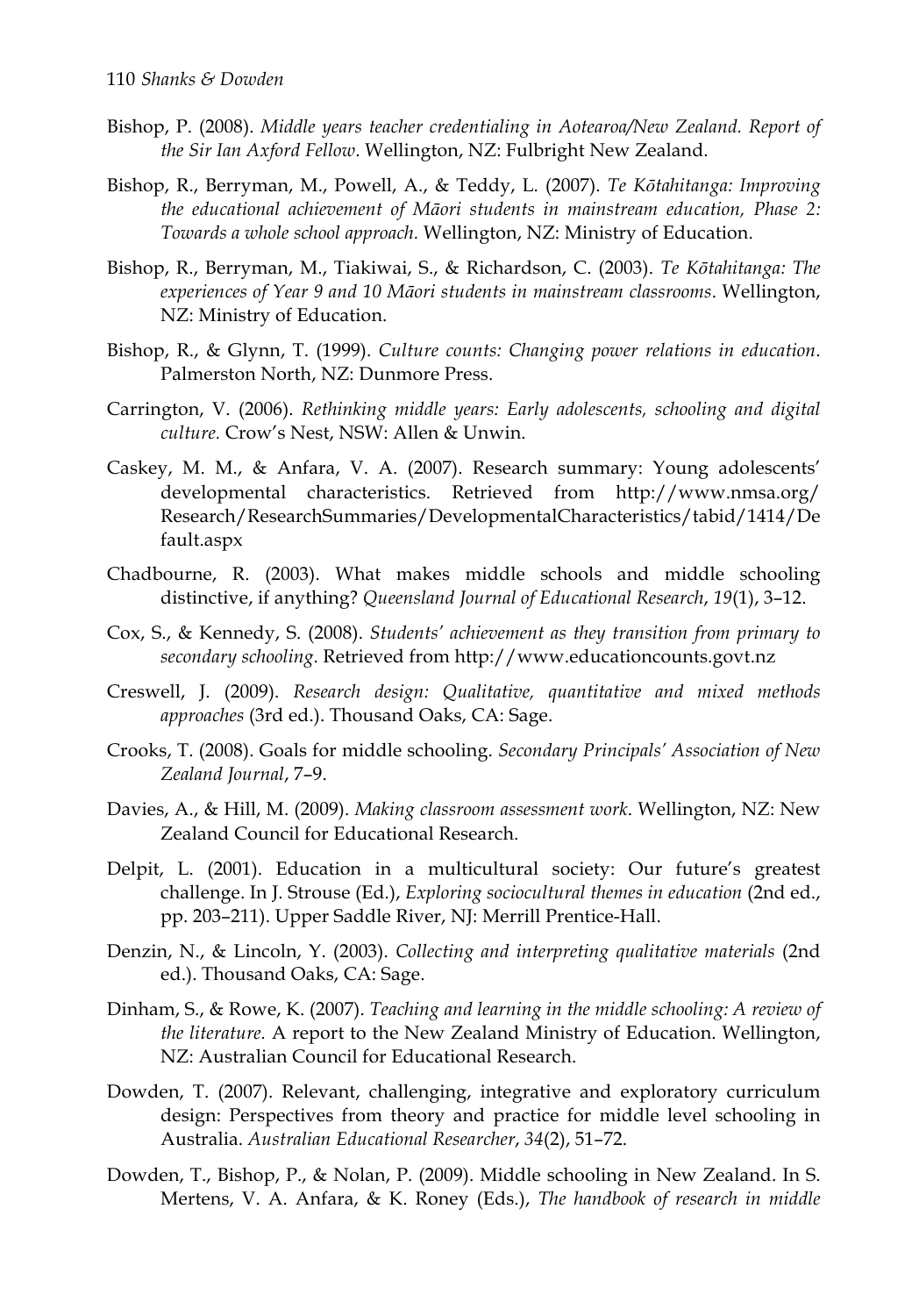- Bishop, P. (2008). *Middle years teacher credentialing in Aotearoa/New Zealand. Report of the Sir Ian Axford Fellow*. Wellington, NZ: Fulbright New Zealand.
- Bishop, R., Berryman, M., Powell, A., & Teddy, L. (2007). *Te Kōtahitanga: Improving the educational achievement of Māori students in mainstream education, Phase 2: Towards a whole school approach.* Wellington, NZ: Ministry of Education.
- Bishop, R., Berryman, M., Tiakiwai, S., & Richardson, C. (2003). *Te Kōtahitanga: The experiences of Year 9 and 10 Māori students in mainstream classrooms*. Wellington, NZ: Ministry of Education.
- Bishop, R., & Glynn, T. (1999). *Culture counts: Changing power relations in education*. Palmerston North, NZ: Dunmore Press.
- Carrington, V. (2006). *Rethinking middle years: Early adolescents, schooling and digital culture.* Crow's Nest, NSW: Allen & Unwin.
- Caskey, M. M., & Anfara, V. A. (2007). Research summary: Young adolescents' developmental characteristics. Retrieved from http://www.nmsa.org/ Research/ResearchSummaries/DevelopmentalCharacteristics/tabid/1414/De fault.aspx
- Chadbourne, R. (2003). What makes middle schools and middle schooling distinctive, if anything? *Queensland Journal of Educational Research*, *19*(1), 3–12.
- Cox, S., & Kennedy, S. (2008). *Students' achievement as they transition from primary to secondary schooling*. Retrieved from http://www.educationcounts.govt.nz
- Creswell, J. (2009). *Research design: Qualitative, quantitative and mixed methods approaches* (3rd ed.). Thousand Oaks, CA: Sage.
- Crooks, T. (2008). Goals for middle schooling. *Secondary Principals' Association of New Zealand Journal*, 7–9.
- Davies, A., & Hill, M. (2009). *Making classroom assessment work*. Wellington, NZ: New Zealand Council for Educational Research.
- Delpit, L. (2001). Education in a multicultural society: Our future's greatest challenge. In J. Strouse (Ed.), *Exploring sociocultural themes in education* (2nd ed., pp. 203–211). Upper Saddle River, NJ: Merrill Prentice-Hall.
- Denzin, N., & Lincoln, Y. (2003). *Collecting and interpreting qualitative materials* (2nd ed.). Thousand Oaks, CA: Sage.
- Dinham, S., & Rowe, K. (2007). *Teaching and learning in the middle schooling: A review of the literature.* A report to the New Zealand Ministry of Education. Wellington, NZ: Australian Council for Educational Research.
- Dowden, T. (2007). Relevant, challenging, integrative and exploratory curriculum design: Perspectives from theory and practice for middle level schooling in Australia. *Australian Educational Researcher*, *34*(2), 51–72.
- Dowden, T., Bishop, P., & Nolan, P. (2009). Middle schooling in New Zealand. In S. Mertens, V. A. Anfara, & K. Roney (Eds.), *The handbook of research in middle*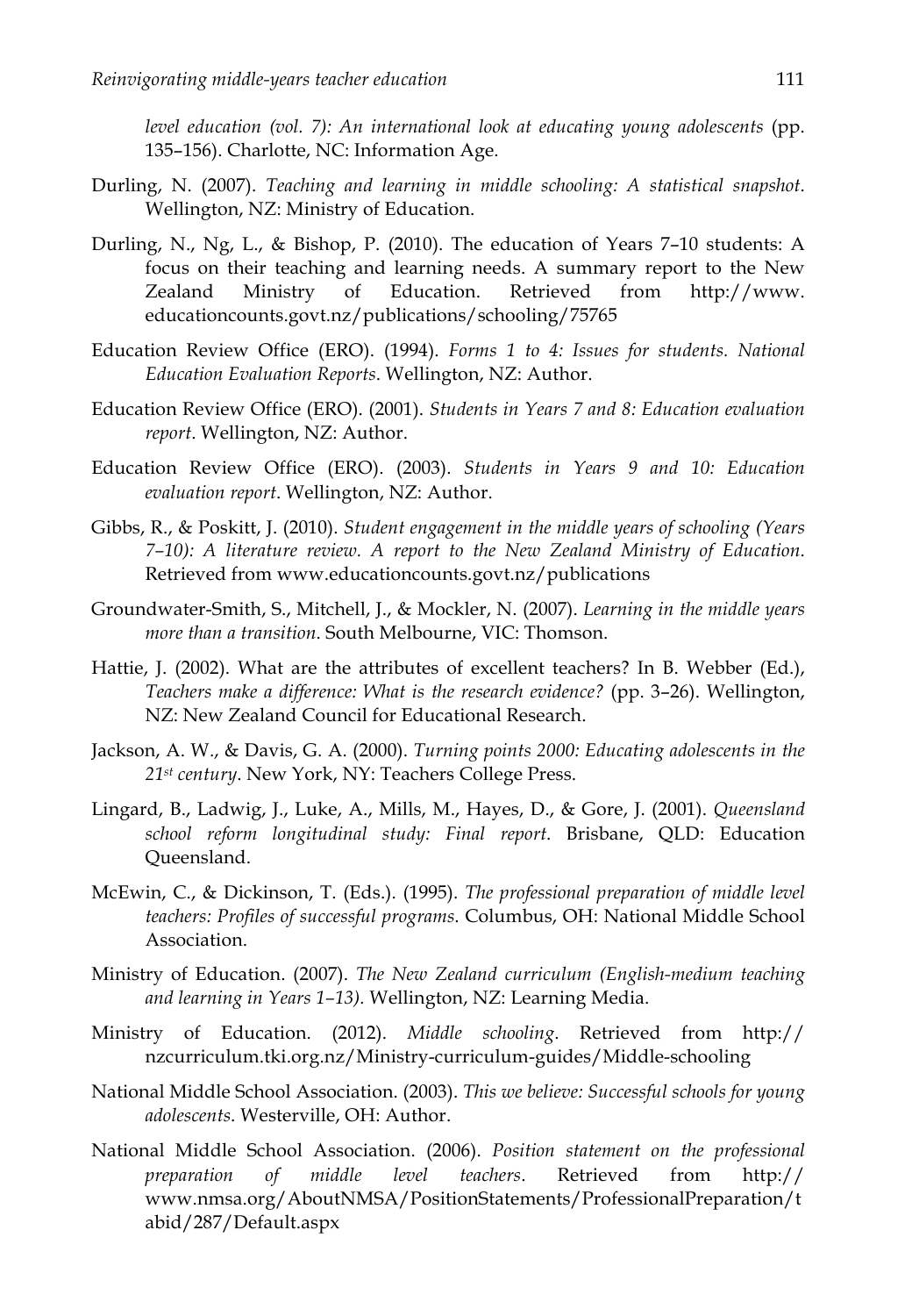*level education (vol. 7): An international look at educating young adolescents* (pp. 135–156). Charlotte, NC: Information Age.

- Durling, N. (2007). *Teaching and learning in middle schooling: A statistical snapshot*. Wellington, NZ: Ministry of Education.
- Durling, N., Ng, L., & Bishop, P. (2010). The education of Years 7–10 students: A focus on their teaching and learning needs. A summary report to the New Zealand Ministry of Education. Retrieved from http://www. educationcounts.govt.nz/publications/schooling/75765
- Education Review Office (ERO). (1994). *Forms 1 to 4: Issues for students. National Education Evaluation Reports*. Wellington, NZ: Author.
- Education Review Office (ERO). (2001). *Students in Years 7 and 8: Education evaluation report*. Wellington, NZ: Author.
- Education Review Office (ERO). (2003). *Students in Years 9 and 10: Education evaluation report*. Wellington, NZ: Author.
- Gibbs, R., & Poskitt, J. (2010). *Student engagement in the middle years of schooling (Years 7–10): A literature review. A report to the New Zealand Ministry of Education*. Retrieved from www.educationcounts.govt.nz/publications
- Groundwater-Smith, S., Mitchell, J., & Mockler, N. (2007). *Learning in the middle years more than a transition*. South Melbourne, VIC: Thomson.
- Hattie, J. (2002). What are the attributes of excellent teachers? In B. Webber (Ed.), *Teachers make a difference: What is the research evidence?* (pp. 3–26). Wellington, NZ: New Zealand Council for Educational Research.
- Jackson, A. W., & Davis, G. A. (2000). *Turning points 2000: Educating adolescents in the 21st century*. New York, NY: Teachers College Press.
- Lingard, B., Ladwig, J., Luke, A., Mills, M., Hayes, D., & Gore, J. (2001). *Queensland school reform longitudinal study: Final report*. Brisbane, QLD: Education Queensland.
- McEwin, C., & Dickinson, T. (Eds.). (1995). *The professional preparation of middle level teachers: Profiles of successful programs*. Columbus, OH: National Middle School Association.
- Ministry of Education. (2007). *The New Zealand curriculum (English-medium teaching and learning in Years 1–13).* Wellington, NZ: Learning Media.
- Ministry of Education. (2012). *Middle schooling*. Retrieved from http:// nzcurriculum.tki.org.nz/Ministry-curriculum-guides/Middle-schooling
- National Middle School Association. (2003). *This we believe: Successful schools for young adolescents*. Westerville, OH: Author.
- National Middle School Association. (2006). *Position statement on the professional preparation of middle level teachers*. Retrieved from http:// www.nmsa.org/AboutNMSA/PositionStatements/ProfessionalPreparation/t abid/287/Default.aspx